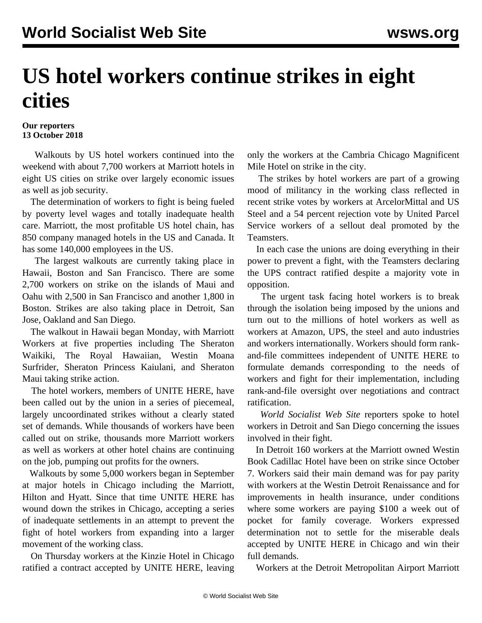## **US hotel workers continue strikes in eight cities**

## **Our reporters 13 October 2018**

 Walkouts by US hotel workers continued into the weekend with about 7,700 workers at Marriott hotels in eight US cities on strike over largely economic issues as well as job security.

 The determination of workers to fight is being fueled by poverty level wages and totally inadequate health care. Marriott, the most profitable US hotel chain, has 850 company managed hotels in the US and Canada. It has some 140,000 employees in the US.

 The largest walkouts are currently taking place in Hawaii, Boston and San Francisco. There are some 2,700 workers on strike on the islands of Maui and Oahu with 2,500 in San Francisco and another 1,800 in Boston. Strikes are also taking place in Detroit, San Jose, Oakland and San Diego.

 The walkout in Hawaii began Monday, with Marriott Workers at five properties including The Sheraton Waikiki, The Royal Hawaiian, Westin Moana Surfrider, Sheraton Princess Kaiulani, and Sheraton Maui taking strike action.

 The hotel workers, members of UNITE HERE, have been called out by the union in a series of piecemeal, largely uncoordinated strikes without a clearly stated set of demands. While thousands of workers have been called out on strike, thousands more Marriott workers as well as workers at other hotel chains are continuing on the job, pumping out profits for the owners.

 Walkouts by some 5,000 workers began in September at major hotels in Chicago including the Marriott, Hilton and Hyatt. Since that time UNITE HERE has wound down the strikes in Chicago, accepting a series of inadequate settlements in an attempt to prevent the fight of hotel workers from expanding into a larger movement of the working class.

 On Thursday workers at the Kinzie Hotel in Chicago ratified a contract accepted by UNITE HERE, leaving only the workers at the Cambria Chicago Magnificent Mile Hotel on strike in the city.

 The strikes by hotel workers are part of a growing mood of militancy in the working class reflected in recent strike votes by workers at ArcelorMittal and US Steel and a 54 percent rejection vote by United Parcel Service workers of a sellout deal promoted by the Teamsters.

 In each case the unions are doing everything in their power to prevent a fight, with the Teamsters declaring the UPS contract ratified despite a majority vote in opposition.

 The urgent task facing hotel workers is to break through the isolation being imposed by the unions and turn out to the millions of hotel workers as well as workers at Amazon, UPS, the steel and auto industries and workers internationally. Workers should form rankand-file committees independent of UNITE HERE to formulate demands corresponding to the needs of workers and fight for their implementation, including rank-and-file oversight over negotiations and contract ratification.

 *World Socialist Web Site* reporters spoke to hotel workers in Detroit and San Diego concerning the issues involved in their fight.

 In Detroit 160 workers at the Marriott owned Westin Book Cadillac Hotel have been on strike since October 7. Workers said their main demand was for pay parity with workers at the Westin Detroit Renaissance and for improvements in health insurance, under conditions where some workers are paying \$100 a week out of pocket for family coverage. Workers expressed determination not to settle for the miserable deals accepted by UNITE HERE in Chicago and win their full demands.

Workers at the Detroit Metropolitan Airport Marriott